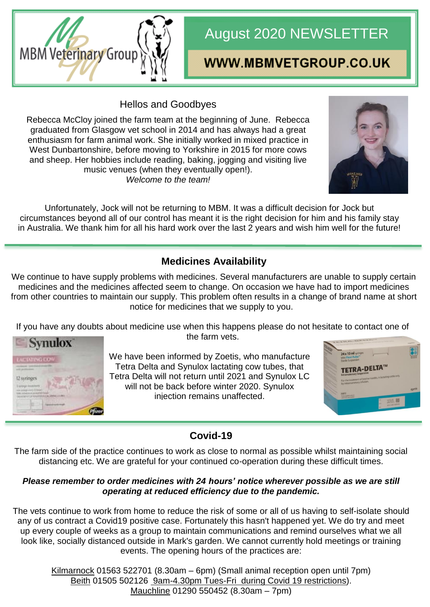

# August 2020 NEWSLETTER

## WWW.MBMVETGROUP.CO.UK

Hellos and Goodbyes

Rebecca McCloy joined the farm team at the beginning of June. Rebecca graduated from Glasgow vet school in 2014 and has always had a great enthusiasm for farm animal work. She initially worked in mixed practice in West Dunbartonshire, before moving to Yorkshire in 2015 for more cows and sheep. Her hobbies include reading, baking, jogging and visiting live music venues (when they eventually open!). *Welcome to the team!*



Unfortunately, Jock will not be returning to MBM. It was a difficult decision for Jock but circumstances beyond all of our control has meant it is the right decision for him and his family stay in Australia. We thank him for all his hard work over the last 2 years and wish him well for the future!

## **Medicines Availability**

We continue to have supply problems with medicines. Several manufacturers are unable to supply certain medicines and the medicines affected seem to change. On occasion we have had to import medicines from other countries to maintain our supply. This problem often results in a change of brand name at short notice for medicines that we supply to you.

If you have any doubts about medicine use when this happens please do not hesitate to contact one of the farm vets.



We have been informed by Zoetis, who manufacture Tetra Delta and Synulox lactating cow tubes, that Tetra Delta will not return until 2021 and Synulox LC will not be back before winter 2020. Synulox injection remains unaffected.



## **Covid-19**

The farm side of the practice continues to work as close to normal as possible whilst maintaining social distancing etc. We are grateful for your continued co-operation during these difficult times.

#### *Please remember to order medicines with 24 hours' notice wherever possible as we are still operating at reduced efficiency due to the pandemic.*

The vets continue to work from home to reduce the risk of some or all of us having to self-isolate should any of us contract a Covid19 positive case. Fortunately this hasn't happened yet. We do try and meet up every couple of weeks as a group to maintain communications and remind ourselves what we all look like, socially distanced outside in Mark's garden. We cannot currently hold meetings or training events. The opening hours of the practices are:

Kilmarnock 01563 522701 (8.30am – 6pm) (Small animal reception open until 7pm) Beith 01505 502126 9am-4.30pm Tues-Fri during Covid 19 restrictions). Mauchline 01290 550452 (8.30am – 7pm)